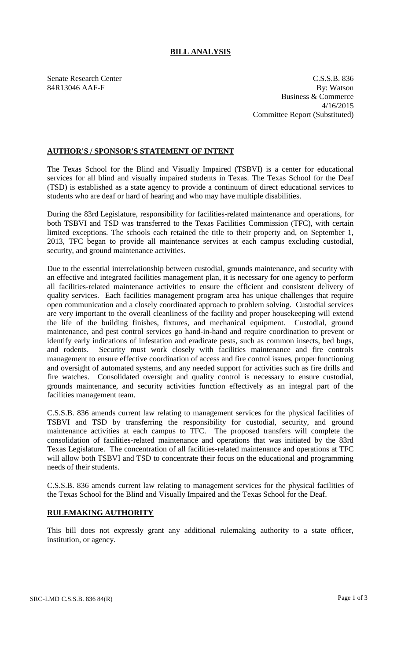## **BILL ANALYSIS**

Senate Research Center C.S.S.B. 836 84R13046 AAF-F By: Watson Business & Commerce 4/16/2015 Committee Report (Substituted)

## **AUTHOR'S / SPONSOR'S STATEMENT OF INTENT**

The Texas School for the Blind and Visually Impaired (TSBVI) is a center for educational services for all blind and visually impaired students in Texas. The Texas School for the Deaf (TSD) is established as a state agency to provide a continuum of direct educational services to students who are deaf or hard of hearing and who may have multiple disabilities.

During the 83rd Legislature, responsibility for facilities-related maintenance and operations, for both TSBVI and TSD was transferred to the Texas Facilities Commission (TFC), with certain limited exceptions. The schools each retained the title to their property and, on September 1, 2013, TFC began to provide all maintenance services at each campus excluding custodial, security, and ground maintenance activities.

Due to the essential interrelationship between custodial, grounds maintenance, and security with an effective and integrated facilities management plan, it is necessary for one agency to perform all facilities-related maintenance activities to ensure the efficient and consistent delivery of quality services. Each facilities management program area has unique challenges that require open communication and a closely coordinated approach to problem solving. Custodial services are very important to the overall cleanliness of the facility and proper housekeeping will extend the life of the building finishes, fixtures, and mechanical equipment. Custodial, ground maintenance, and pest control services go hand-in-hand and require coordination to prevent or identify early indications of infestation and eradicate pests, such as common insects, bed bugs, and rodents. Security must work closely with facilities maintenance and fire controls management to ensure effective coordination of access and fire control issues, proper functioning and oversight of automated systems, and any needed support for activities such as fire drills and fire watches. Consolidated oversight and quality control is necessary to ensure custodial, grounds maintenance, and security activities function effectively as an integral part of the facilities management team.

C.S.S.B. 836 amends current law relating to management services for the physical facilities of TSBVI and TSD by transferring the responsibility for custodial, security, and ground maintenance activities at each campus to TFC. The proposed transfers will complete the consolidation of facilities-related maintenance and operations that was initiated by the 83rd Texas Legislature. The concentration of all facilities-related maintenance and operations at TFC will allow both TSBVI and TSD to concentrate their focus on the educational and programming needs of their students.

C.S.S.B. 836 amends current law relating to management services for the physical facilities of the Texas School for the Blind and Visually Impaired and the Texas School for the Deaf.

## **RULEMAKING AUTHORITY**

This bill does not expressly grant any additional rulemaking authority to a state officer, institution, or agency.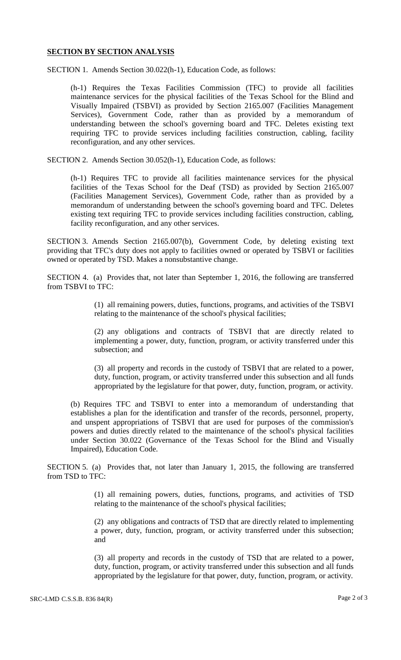## **SECTION BY SECTION ANALYSIS**

SECTION 1. Amends Section 30.022(h-1), Education Code, as follows:

(h-1) Requires the Texas Facilities Commission (TFC) to provide all facilities maintenance services for the physical facilities of the Texas School for the Blind and Visually Impaired (TSBVI) as provided by Section 2165.007 (Facilities Management Services), Government Code, rather than as provided by a memorandum of understanding between the school's governing board and TFC. Deletes existing text requiring TFC to provide services including facilities construction, cabling, facility reconfiguration, and any other services.

SECTION 2. Amends Section 30.052(h-1), Education Code, as follows:

(h-1) Requires TFC to provide all facilities maintenance services for the physical facilities of the Texas School for the Deaf (TSD) as provided by Section 2165.007 (Facilities Management Services), Government Code, rather than as provided by a memorandum of understanding between the school's governing board and TFC. Deletes existing text requiring TFC to provide services including facilities construction, cabling, facility reconfiguration, and any other services.

SECTION 3. Amends Section 2165.007(b), Government Code, by deleting existing text providing that TFC's duty does not apply to facilities owned or operated by TSBVI or facilities owned or operated by TSD. Makes a nonsubstantive change.

SECTION 4. (a) Provides that, not later than September 1, 2016, the following are transferred from TSBVI to TFC:

> (1) all remaining powers, duties, functions, programs, and activities of the TSBVI relating to the maintenance of the school's physical facilities;

> (2) any obligations and contracts of TSBVI that are directly related to implementing a power, duty, function, program, or activity transferred under this subsection; and

> (3) all property and records in the custody of TSBVI that are related to a power, duty, function, program, or activity transferred under this subsection and all funds appropriated by the legislature for that power, duty, function, program, or activity.

(b) Requires TFC and TSBVI to enter into a memorandum of understanding that establishes a plan for the identification and transfer of the records, personnel, property, and unspent appropriations of TSBVI that are used for purposes of the commission's powers and duties directly related to the maintenance of the school's physical facilities under Section 30.022 (Governance of the Texas School for the Blind and Visually Impaired), Education Code.

SECTION 5. (a) Provides that, not later than January 1, 2015, the following are transferred from TSD to TFC:

> (1) all remaining powers, duties, functions, programs, and activities of TSD relating to the maintenance of the school's physical facilities;

> (2) any obligations and contracts of TSD that are directly related to implementing a power, duty, function, program, or activity transferred under this subsection; and

> (3) all property and records in the custody of TSD that are related to a power, duty, function, program, or activity transferred under this subsection and all funds appropriated by the legislature for that power, duty, function, program, or activity.